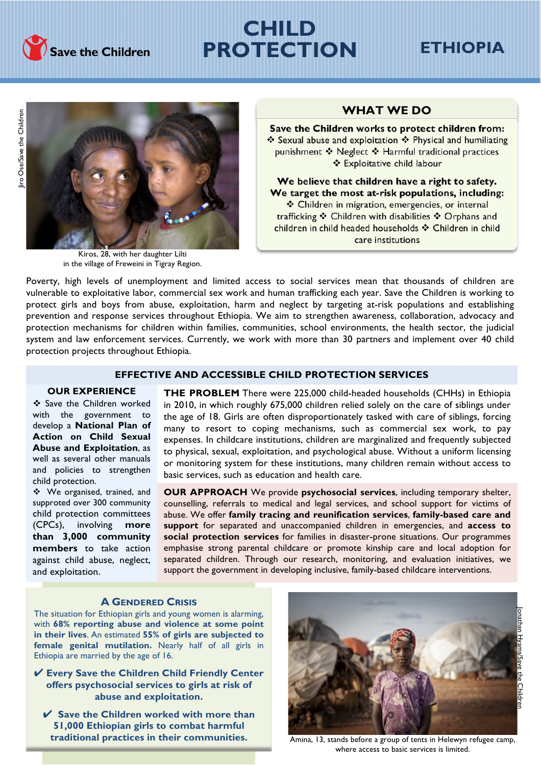

# **CHILD PROTECTION**

## **ETHIOPIA**



Kiros, 28, with her daughter Lilti in the village of Freweini in Tigray Region.

### **WHAT WE DO**

Save the Children works to protect children from: ❖ Sexual abuse and exploitation ❖ Physical and humiliating punishment ❖ Neglect ❖ Harmful traditional practices ❖ Exploitative child labour

We believe that children have a right to safety. We target the most at-risk populations, including: \* Children in migration, emergencies, or internal trafficking ❖ Children with disabilities ❖ Orphans and children in child headed households \* Children in child care institutions

Poverty, high levels of unemployment and limited access to social services mean that thousands of children are vulnerable to exploitative labor, commercial sex work and human trafficking each year. Save the Children is working to protect girls and boys from abuse, exploitation, harm and neglect by targeting at-risk populations and establishing prevention and response services throughout Ethiopia. We aim to strengthen awareness, collaboration, advocacy and protection mechanisms for children within families, communities, school environments, the health sector, the judicial system and law enforcement services. Currently, we work with more than 30 partners and implement over 40 child protection projects throughout Ethiopia.

### **EFFECTIVE AND ACCESSIBLE CHILD PROTECTION SERVICES**

### **OUR EXPERIENCE**

\* Save the Children worked with the government to develop a **National Plan of Action on Child Sexual Abuse and Exploitation**, as well as several other manuals and policies to strengthen child protection.

\* We organised, trained, and supproted over 300 community child protection committees (CPCs), involving **more than 3,000 community members** to take action against child abuse, neglect, and exploitation.

**THE PROBLEM** There were 225,000 child-headed households (CHHs) in Ethiopia in 2010, in which roughly 675,000 children relied solely on the care of siblings under the age of 18. Girls are often disproportionately tasked with care of siblings, forcing many to resort to coping mechanisms, such as commercial sex work, to pay expenses. In childcare institutions, children are marginalized and frequently subjected to physical, sexual, exploitation, and psychological abuse. Without a uniform licensing or monitoring system for these institutions, many children remain without access to basic services, such as education and health care.

**OUR APPROACH** We provide **psychosocial services**, including temporary shelter, counselling, referrals to medical and legal services, and school support for victims of abuse. We offer **family tracing and reunification services**, **family-based care and support** for separated and unaccompanied children in emergencies, and **access to social protection services** for families in disaster-prone situations. Our programmes emphasise strong parental childcare or promote kinship care and local adoption for separated children. Through our research, monitoring, and evaluation initiatives, we support the government in developing inclusive, family-based childcare interventions.

### **A GENDERED CRISIS**

The situation for Ethiopian girls and young women is alarming, with **68% reporting abuse and violence at some point in their lives**. An estimated **55% of girls are subjected to female genital mutilation.** Nearly half of all girls in Ethiopia are married by the age of 16.

! **Every Save the Children Child Friendly Center offers psychosocial services to girls at risk of abuse and exploitation.**

! **Save the Children worked with more than 51,000 Ethiopian girls to combat harmful traditional practices in their communities.**



Amina, 13, stands before a group of tents in Helewyn refugee camp, where access to basic services is limited.